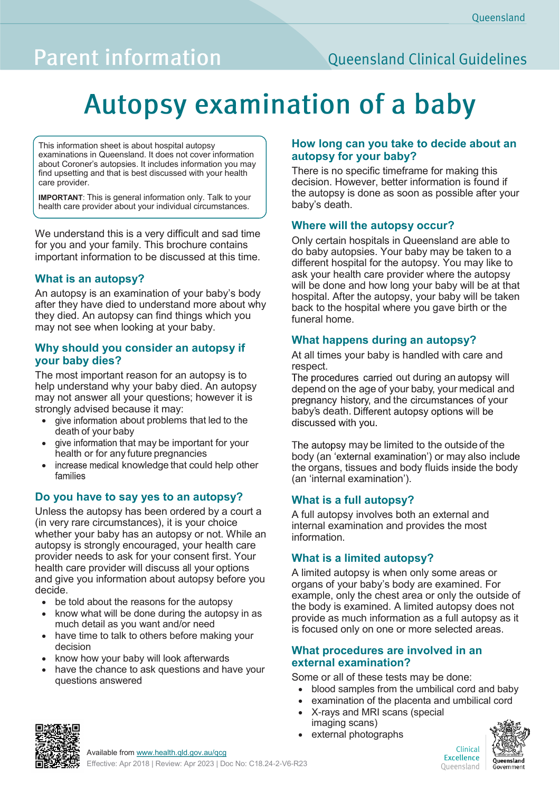## **Parent information**

### **Queensland Clinical Guidelines**

# **Autopsy examination of a baby**

This information sheet is about hospital autopsy examinations in Queensland. It does not cover information about Coroner's autopsies. It includes information you may find upsetting and that is best discussed with your health care provider.

**IMPORTANT**: This is general information only. Talk to your health care provider about your individual circumstances.

We understand this is a very difficult and sad time for you and your family. This brochure contains important information to be discussed at this time.

#### **What is an autopsy?**

An autopsy is an examination of your baby's body after they have died to understand more about why they died. An autopsy can find things which you may not see when looking at your baby.

#### **Why should you consider an autopsy if your baby dies?**

The most important reason for an autopsy is to help understand why your baby died. An autopsy may not answer all your questions; however it is strongly advised because it may:

- give information about problems that led to the death of your baby
- give information that may be important for your health or for any future pregnancies
- increase medical knowledge that could help other families

#### **Do you have to say yes to an autopsy?**

Unless the autopsy has been ordered by a court a (in very rare circumstances), it is your choice whether your baby has an autopsy or not. While an autopsy is strongly encouraged, your health care provider needs to ask for your consent first. Your health care provider will discuss all your options and give you information about autopsy before you decide.

- be told about the reasons for the autopsy
- know what will be done during the autopsy in as much detail as you want and/or need
- have time to talk to others before making your decision
- know how your baby will look afterwards
- have the chance to ask questions and have your questions answered

#### **How long can you take to decide about an autopsy for your baby?**

There is no specific timeframe for making this decision. However, better information is found if the autopsy is done as soon as possible after your baby's death.

#### **Where will the autopsy occur?**

Only certain hospitals in Queensland are able to do baby autopsies. Your baby may be taken to a different hospital for the autopsy. You may like to ask your health care provider where the autopsy will be done and how long your baby will be at that hospital. After the autopsy, your baby will be taken back to the hospital where you gave birth or the funeral home.

#### **What happens during an autopsy?**

At all times your baby is handled with care and respect.

The procedures carried out during an autopsy will depend on the age of your baby, your medical and pregnancy history, and the circumstances of your baby's death. Different autopsy options will be discussed with you.

The autopsy may be limited to the outside of the body (an 'external examination') or may also include the organs, tissues and body fluids inside the body (an 'internal examination').

#### **What is a full autopsy?**

A full autopsy involves both an external and internal examination and provides the most information.

#### **What is a limited autopsy?**

A limited autopsy is when only some areas or organs of your baby's body are examined. For example, only the chest area or only the outside of the body is examined. A limited autopsy does not provide as much information as a full autopsy as it is focused only on one or more selected areas.

#### **What procedures are involved in an external examination?**

Some or all of these tests may be done:

- blood samples from the umbilical cord and baby
- examination of the placenta and umbilical cord
- X-rays and MRI scans (special imaging scans)
- external photographs



Available from [www.health.qld.gov.au/qcg](http://www.health.qld.gov.au/qcg)

Clinical Excellence Oueensland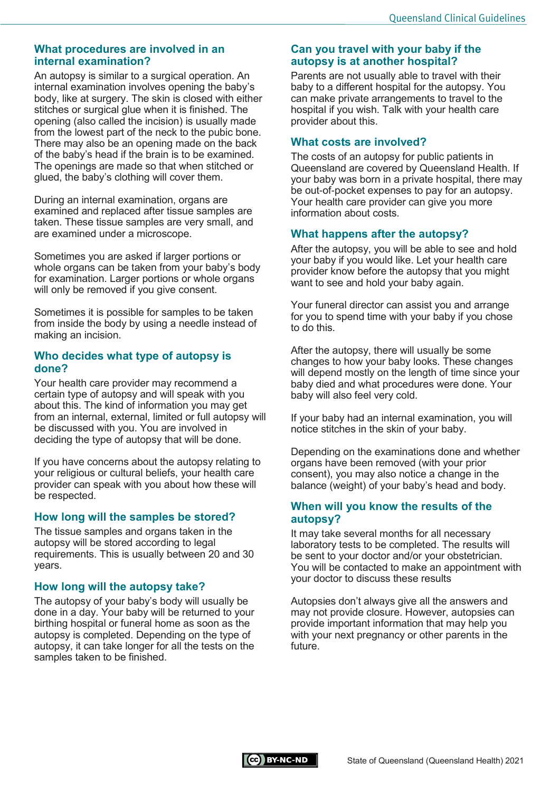#### **What procedures are involved in an internal examination?**

An autopsy is similar to a surgical operation. An internal examination involves opening the baby's body, like at surgery. The skin is closed with either stitches or surgical glue when it is finished. The opening (also called the incision) is usually made from the lowest part of the neck to the pubic bone. There may also be an opening made on the back of the baby's head if the brain is to be examined. The openings are made so that when stitched or glued, the baby's clothing will cover them.

During an internal examination, organs are examined and replaced after tissue samples are taken. These tissue samples are very small, and are examined under a microscope.

Sometimes you are asked if larger portions or whole organs can be taken from your baby's body for examination. Larger portions or whole organs will only be removed if you give consent.

Sometimes it is possible for samples to be taken from inside the body by using a needle instead of making an incision.

#### **Who decides what type of autopsy is done?**

Your health care provider may recommend a certain type of autopsy and will speak with you about this. The kind of information you may get from an internal, external, limited or full autopsy will be discussed with you. You are involved in deciding the type of autopsy that will be done.

If you have concerns about the autopsy relating to your religious or cultural beliefs, your health care provider can speak with you about how these will be respected.

#### **How long will the samples be stored?**

The tissue samples and organs taken in the autopsy will be stored according to legal requirements. This is usually between 20 and 30 years.

#### **How long will the autopsy take?**

The autopsy of your baby's body will usually be done in a day. Your baby will be returned to your birthing hospital or funeral home as soon as the autopsy is completed. Depending on the type of autopsy, it can take longer for all the tests on the samples taken to be finished.

#### **Can you travel with your baby if the autopsy is at another hospital?**

Parents are not usually able to travel with their baby to a different hospital for the autopsy. You can make private arrangements to travel to the hospital if you wish. Talk with your health care provider about this.

#### **What costs are involved?**

The costs of an autopsy for public patients in Queensland are covered by Queensland Health. If your baby was born in a private hospital, there may be out-of-pocket expenses to pay for an autopsy. Your health care provider can give you more information about costs.

#### **What happens after the autopsy?**

After the autopsy, you will be able to see and hold your baby if you would like. Let your health care provider know before the autopsy that you might want to see and hold your baby again.

Your funeral director can assist you and arrange for you to spend time with your baby if you chose to do this.

After the autopsy, there will usually be some changes to how your baby looks. These changes will depend mostly on the length of time since your baby died and what procedures were done. Your baby will also feel very cold.

If your baby had an internal examination, you will notice stitches in the skin of your baby.

Depending on the examinations done and whether organs have been removed (with your prior consent), you may also notice a change in the balance (weight) of your baby's head and body.

#### **When will you know the results of the autopsy?**

It may take several months for all necessary laboratory tests to be completed. The results will be sent to your doctor and/or your obstetrician. You will be contacted to make an appointment with your doctor to discuss these results

Autopsies don't always give all the answers and may not provide closure. However, autopsies can provide important information that may help you with your next pregnancy or other parents in the  $f$ uture.